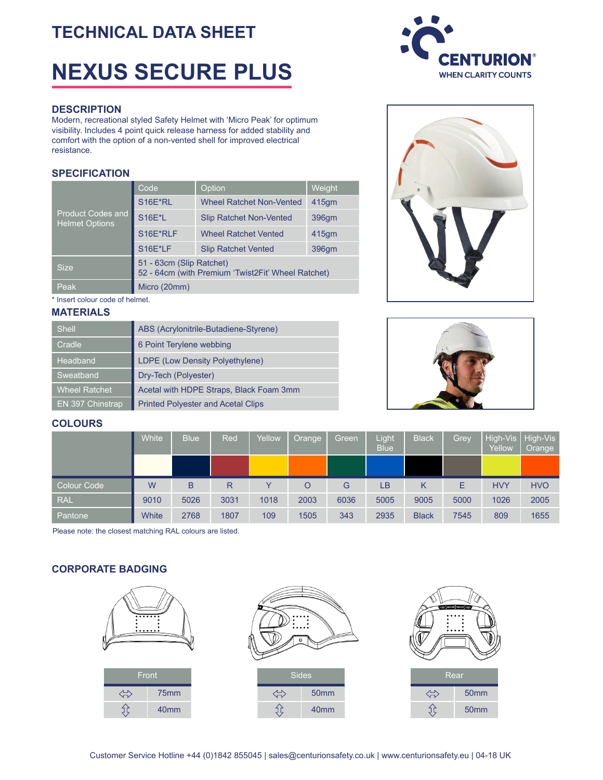# **TECHNICAL DATA SHEET**

# **NEXUS SECURE PLUS**

#### **DESCRIPTION**

Modern, recreational styled Safety Helmet with 'Micro Peak' for optimum visibility. Includes 4 point quick release harness for added stability and comfort with the option of a non-vented shell for improved electrical resistance.

### **SPECIFICATION**

|                                                   | Code                                                                           | Option                          | Weight            |  |  |  |  |  |  |
|---------------------------------------------------|--------------------------------------------------------------------------------|---------------------------------|-------------------|--|--|--|--|--|--|
| <b>Product Codes and</b><br><b>Helmet Options</b> | S16E*RL                                                                        | <b>Wheel Ratchet Non-Vented</b> | 415 <sub>qm</sub> |  |  |  |  |  |  |
|                                                   | <b>S16E*L</b>                                                                  | <b>Slip Ratchet Non-Vented</b>  | 396 <sub>qm</sub> |  |  |  |  |  |  |
|                                                   | S16E*RLF                                                                       | <b>Wheel Ratchet Vented</b>     | 415 <sub>qm</sub> |  |  |  |  |  |  |
|                                                   | <b>S16E*LF</b>                                                                 | <b>Slip Ratchet Vented</b>      | 396gm             |  |  |  |  |  |  |
| <b>Size</b>                                       | 51 - 63cm (Slip Ratchet)<br>52 - 64cm (with Premium 'Twist2Fit' Wheel Ratchet) |                                 |                   |  |  |  |  |  |  |
| Peak                                              | Micro (20mm)                                                                   |                                 |                   |  |  |  |  |  |  |

\* Insert colour code of helmet.

#### **MATERIALS**

| <b>Shell</b>         | ABS (Acrylonitrile-Butadiene-Styrene)     |
|----------------------|-------------------------------------------|
| Cradle               | 6 Point Terylene webbing                  |
| Headband             | LDPE (Low Density Polyethylene)           |
| Sweatband            | Dry-Tech (Polyester)                      |
| <b>Wheel Ratchet</b> | Acetal with HDPE Straps, Black Foam 3mm   |
| EN 397 Chinstrap     | <b>Printed Polyester and Acetal Clips</b> |







# **COLOURS**

|             | White | <b>Blue</b> | Red  | Yellow | Orange  | Green | Light<br>Blue <sup>1</sup> | <b>Black</b> | Grey | Yellow     | High-Vis   High-Vis<br>Orange |
|-------------|-------|-------------|------|--------|---------|-------|----------------------------|--------------|------|------------|-------------------------------|
|             |       |             |      |        |         |       |                            |              |      |            |                               |
| Colour Code | W     | B           | R    |        | $\circ$ | G     | LВ                         | Κ            | E    | <b>HVY</b> | <b>HVO</b>                    |
| <b>RAL</b>  | 9010  | 5026        | 3031 | 1018   | 2003    | 6036  | 5005                       | 9005         | 5000 | 1026       | 2005                          |
|             |       |             |      |        |         |       |                            |              |      |            |                               |

Please note: the closest matching RAL colours are listed.

# **CORPORATE BADGING**

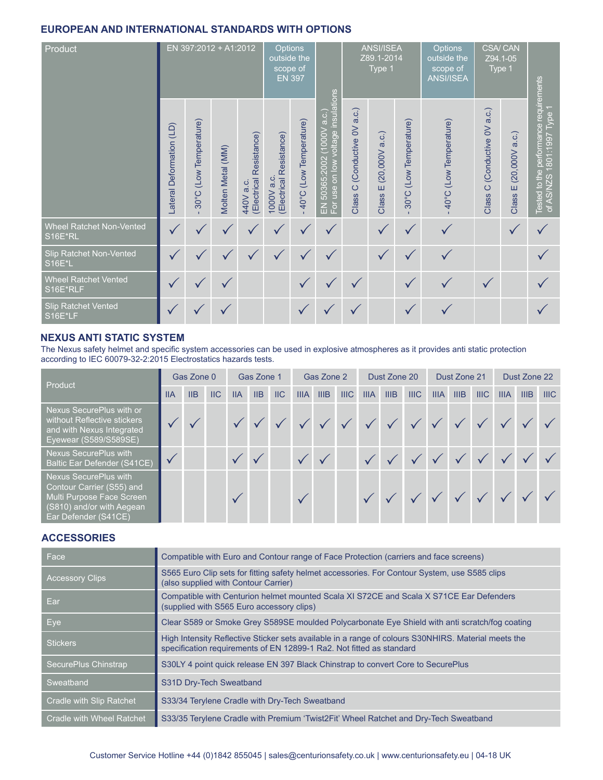# **EUROPEAN AND INTERNATIONAL STANDARDS WITH OPTIONS**

| Product                                  | EN 397:2012 + A1:2012    |                         |                   |                                      |                                       | Options<br>outside the<br>scope of<br><b>EN 397</b> |              |                                          | ANSI/ISEA<br>Z89.1-2014<br>Type 1 |                                     | <b>Options</b><br>outside the<br>scope of<br><b>ANSI/ISEA</b> | <b>CSA/CAN</b><br>Z94.1-05<br>Type 1     |                              |                                                                      |
|------------------------------------------|--------------------------|-------------------------|-------------------|--------------------------------------|---------------------------------------|-----------------------------------------------------|--------------|------------------------------------------|-----------------------------------|-------------------------------------|---------------------------------------------------------------|------------------------------------------|------------------------------|----------------------------------------------------------------------|
|                                          | Lateral Deformation (LD) | 30°C (Low Temperature)  | Molten Metal (MM) | (Electrical Resistance)<br>440V a.c. | (Electrical Resistance)<br>1000V a.c. | 40°C (Low Temperature)                              |              | (Conductive OV a.c.)<br>$\circ$<br>Class | a.c.)<br>(20,000V)<br>Ш<br>Class  | (Low Temperature)<br>$30^{\circ}$ C | 40°C (Low Temperature)                                        | (Conductive OV a.c.)<br>$\circ$<br>Class | (20,000V a.c.)<br>Ш<br>Class | Tested to the performance requirements<br>of AS/NZS 1801:1997 Type 1 |
| Wheel Ratchet Non-Vented<br>S16E*RL      |                          | $\overline{\mathbf{v}}$ | $\checkmark$      | $\checkmark$                         |                                       |                                                     | ✓            |                                          |                                   |                                     |                                                               |                                          |                              |                                                                      |
| Slip Ratchet Non-Vented<br><b>S16E*L</b> |                          |                         | $\checkmark$      |                                      |                                       |                                                     | $\checkmark$ |                                          |                                   | ✓                                   |                                                               |                                          |                              |                                                                      |
| <b>Wheel Ratchet Vented</b><br>S16E*RLF  |                          | $\checkmark$            |                   |                                      |                                       | $\checkmark$                                        |              |                                          |                                   |                                     | $\checkmark$                                                  | $\checkmark$                             |                              |                                                                      |
| <b>Slip Ratchet Vented</b><br>S16E*LF    |                          |                         |                   |                                      |                                       |                                                     |              |                                          |                                   |                                     |                                                               |                                          |                              |                                                                      |

# **NEXUS ANTI STATIC SYSTEM**

The Nexus safety helmet and specific system accessories can be used in explosive atmospheres as it provides anti static protection according to IEC 60079-32-2:2015 Electrostatics hazards tests.

| Product                                                                                                                                     | Gas Zone 0 |     |                           | Gas Zone 1                |     |      | Gas Zone 2  |      |                  | Dust Zone 20 |                                                                                                                      |             | Dust Zone 21 |      |      | Dust Zone 22 |      |      |
|---------------------------------------------------------------------------------------------------------------------------------------------|------------|-----|---------------------------|---------------------------|-----|------|-------------|------|------------------|--------------|----------------------------------------------------------------------------------------------------------------------|-------------|--------------|------|------|--------------|------|------|
|                                                                                                                                             | <b>IIA</b> | IIB | $\overline{\mathsf{IIC}}$ | <b>IIA</b>                | IIB | $II$ | <b>IIIA</b> | IIIB | III <sub>C</sub> | <b>IIIA</b>  | IIIB                                                                                                                 | <b>IIIC</b> | <b>IIIA</b>  | IIIB | IIIC | <b>IIIA</b>  | IIIB | IIIC |
| Nexus SecurePlus with or<br>without Reflective stickers<br>and with Nexus Integrated<br>Eyewear (S589/S589SE)                               |            |     |                           |                           |     |      |             |      |                  |              | $\checkmark$ $\checkmark$ $\checkmark$ $\checkmark$ $\checkmark$ $\checkmark$ $\checkmark$ $\checkmark$ $\checkmark$ |             |              |      |      |              |      |      |
| <b>Nexus SecurePlus with</b><br><b>Baltic Ear Defender (S41CE)</b>                                                                          |            |     |                           | $\checkmark$ $\checkmark$ |     |      |             |      |                  |              |                                                                                                                      |             |              |      |      |              |      |      |
| <b>Nexus SecurePlus with</b><br>Contour Carrier (S55) and<br>Multi Purpose Face Screen<br>(S810) and/or with Aegean<br>Ear Defender (S41CE) |            |     |                           |                           |     |      |             |      |                  |              |                                                                                                                      |             |              |      |      |              |      |      |

# **ACCESSORIES**

| Face                      | Compatible with Euro and Contour range of Face Protection (carriers and face screens)                                                                                       |
|---------------------------|-----------------------------------------------------------------------------------------------------------------------------------------------------------------------------|
| <b>Accessory Clips</b>    | S565 Euro Clip sets for fitting safety helmet accessories. For Contour System, use S585 clips<br>(also supplied with Contour Carrier)                                       |
| Ear                       | Compatible with Centurion helmet mounted Scala XI S72CE and Scala X S71CE Ear Defenders<br>(supplied with S565 Euro accessory clips)                                        |
| <b>Eye</b>                | Clear S589 or Smoke Grey S589SE moulded Polycarbonate Eye Shield with anti scratch/fog coating                                                                              |
| <b>Stickers</b>           | High Intensity Reflective Sticker sets available in a range of colours S30NHIRS. Material meets the<br>specification requirements of EN 12899-1 Ra2. Not fitted as standard |
| SecurePlus Chinstrap      | S30LY 4 point quick release EN 397 Black Chinstrap to convert Core to SecurePlus                                                                                            |
| Sweatband                 | S31D Dry-Tech Sweatband                                                                                                                                                     |
| Cradle with Slip Ratchet  | S33/34 Terylene Cradle with Dry-Tech Sweatband                                                                                                                              |
| Cradle with Wheel Ratchet | S33/35 Terylene Cradle with Premium 'Twist2Fit' Wheel Ratchet and Dry-Tech Sweatband                                                                                        |